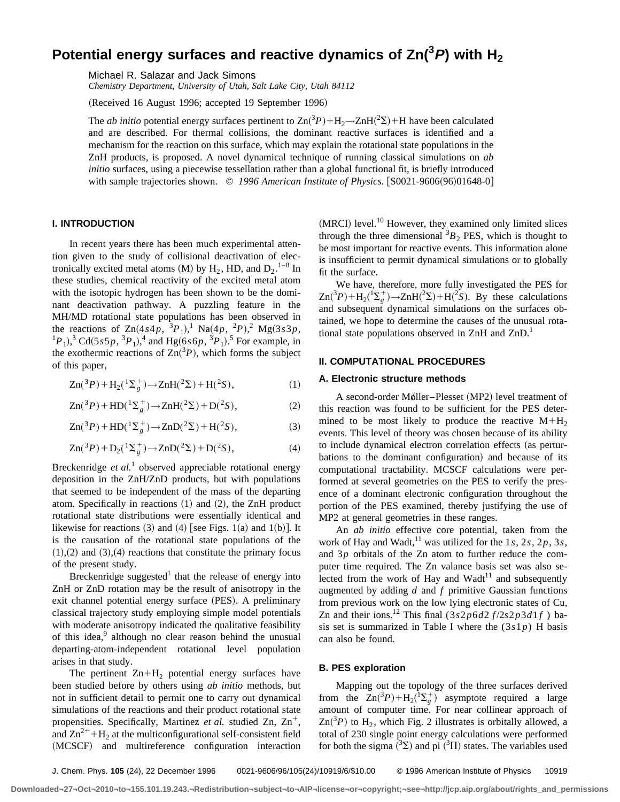# Potential energy surfaces and reactive dynamics of Zn( $^3$ *P*) with H<sub>2</sub>

Michael R. Salazar and Jack Simons

*Chemistry Department, University of Utah, Salt Lake City, Utah 84112*

(Received 16 August 1996; accepted 19 September 1996)

The *ab initio* potential energy surfaces pertinent to  $Zn(^3P) + H_2 \rightarrow ZnH(^2\Sigma) + H$  have been calculated and are described. For thermal collisions, the dominant reactive surfaces is identified and a mechanism for the reaction on this surface, which may explain the rotational state populations in the ZnH products, is proposed. A novel dynamical technique of running classical simulations on *ab initio* surfaces, using a piecewise tessellation rather than a global functional fit, is briefly introduced with sample trajectories shown. © 1996 American Institute of Physics. [S0021-9606(96)01648-0]

## **I. INTRODUCTION**

In recent years there has been much experimental attention given to the study of collisional deactivation of electronically excited metal atoms (M) by  $H_2$ , HD, and  $D_2$ .<sup>1-8</sup> In these studies, chemical reactivity of the excited metal atom with the isotopic hydrogen has been shown to be the dominant deactivation pathway. A puzzling feature in the MH/MD rotational state populations has been observed in the reactions of  $Zn(4s4p, {}^{3}P_{1})$ ,  $Na(4p, {}^{2}P)$ ,  $Ng(3s3p, {}^{3}P_{1})$  ${}^{1}P_{1}$ ),<sup>3</sup> Cd(5*s*5*p*,  ${}^{3}P_{1}$ ),<sup>4</sup> and Hg(6*s*6*p*,  ${}^{3}P_{1}$ ).<sup>5</sup> For example, in the exothermic reactions of  $\text{Zn}(^{3}P)$ , which forms the subject of this paper,

$$
Zn({}^{3}P) + H_{2}({}^{1}\Sigma_{g}^{+}) \rightarrow ZnH({}^{2}\Sigma) + H({}^{2}S), \tag{1}
$$

$$
Zn({}^3P) + HD({}^1\Sigma_g^+) \to ZnH({}^2\Sigma) + D({}^2S),
$$
 (2)

$$
Zn(^{3}P) + HD(^{1}\Sigma_{g}^{+}) \rightarrow ZnD(^{2}\Sigma) + H(^{2}S),
$$
 (3)

$$
Zn({}^3P) + D_2({}^1\Sigma_g^+) \to ZnD({}^2\Sigma) + D({}^2S), \tag{4}
$$

Breckenridge *et al.*<sup>1</sup> observed appreciable rotational energy deposition in the ZnH/ZnD products, but with populations that seemed to be independent of the mass of the departing atom. Specifically in reactions  $(1)$  and  $(2)$ , the ZnH product rotational state distributions were essentially identical and likewise for reactions  $(3)$  and  $(4)$  [see Figs. 1 $(a)$  and 1 $(b)$ ]. It is the causation of the rotational state populations of the  $(1),(2)$  and  $(3),(4)$  reactions that constitute the primary focus of the present study.

Breckenridge suggested $1$  that the release of energy into ZnH or ZnD rotation may be the result of anisotropy in the exit channel potential energy surface (PES). A preliminary classical trajectory study employing simple model potentials with moderate anisotropy indicated the qualitative feasibility of this idea,<sup>9</sup> although no clear reason behind the unusual departing-atom-independent rotational level population arises in that study.

The pertinent  $Zn+H_2$  potential energy surfaces have been studied before by others using *ab initio* methods, but not in sufficient detail to permit one to carry out dynamical simulations of the reactions and their product rotational state propensities. Specifically, Martinez *et al.* studied Zn, Zn<sup>+</sup>, and  $\text{Zn}^{2+} + \text{H}_2$  at the multiconfigurational self-consistent field (MCSCF) and multireference configuration interaction

 $(MRCI)$  level.<sup>10</sup> However, they examined only limited slices through the three dimensional  ${}^{3}B_{2}$  PES, which is thought to be most important for reactive events. This information alone is insufficient to permit dynamical simulations or to globally fit the surface.

We have, therefore, more fully investigated the PES for  $\text{Zn}(^{3}P) + \text{H}_{2}(\frac{1}{2g}) \rightarrow \text{ZnH}(^{2} \Sigma) + \text{H}(^{2} \Sigma)$ . By these calculations and subsequent dynamical simulations on the surfaces obtained, we hope to determine the causes of the unusual rotational state populations observed in  $\text{ZnH}$  and  $\text{ZnD}$ .<sup>1</sup>

## **II. COMPUTATIONAL PROCEDURES**

#### **A. Electronic structure methods**

A second-order Møller–Plesset (MP2) level treatment of this reaction was found to be sufficient for the PES determined to be most likely to produce the reactive  $M+H<sub>2</sub>$ events. This level of theory was chosen because of its ability to include dynamical electron correlation effects (as perturbations to the dominant configuration) and because of its computational tractability. MCSCF calculations were performed at several geometries on the PES to verify the presence of a dominant electronic configuration throughout the portion of the PES examined, thereby justifying the use of MP2 at general geometries in these ranges.

An *ab initio* effective core potential, taken from the work of Hay and Wadt, <sup>11</sup> was utilized for the  $1s$ ,  $2s$ ,  $2p$ ,  $3s$ , and 3*p* orbitals of the Zn atom to further reduce the computer time required. The Zn valance basis set was also selected from the work of Hay and Wadt<sup>11</sup> and subsequently augmented by adding *d* and *f* primitive Gaussian functions from previous work on the low lying electronic states of Cu, Zn and their ions.<sup>12</sup> This final  $(3s2p6d2f/2s2p3d1f)$  basis set is summarized in Table I where the  $(3s1p)$  H basis can also be found.

## **B. PES exploration**

Mapping out the topology of the three surfaces derived from the  $\text{Zn}(^{3}P) + \text{H}_{2}(\frac{1}{g})$  asymptote required a large amount of computer time. For near collinear approach of  $\text{Zn}(3P)$  to H<sub>2</sub>, which Fig. 2 illustrates is orbitally allowed, a total of 230 single point energy calculations were performed for both the sigma  $({}^3\Sigma)$  and pi  $({}^3\Pi)$  states. The variables used

**Downloaded¬27¬Oct¬2010¬to¬155.101.19.243.¬Redistribution¬subject¬to¬AIP¬license¬or¬copyright;¬see¬http://jcp.aip.org/about/rights\_and\_permissions**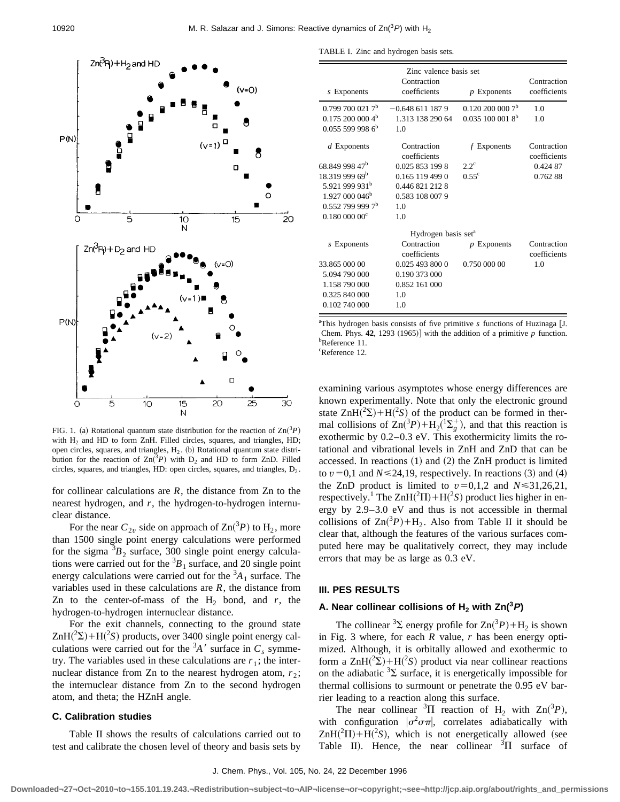

FIG. 1. (a) Rotational quantum state distribution for the reaction of  $\text{Zn}(^{3}P)$ with  $H_2$  and HD to form ZnH. Filled circles, squares, and triangles, HD; open circles, squares, and triangles,  $H_2$ . (b) Rotational quantum state distribution for the reaction of  $\text{Zn}(3P)$  with  $D_2$  and HD to form ZnD. Filled circles, squares, and triangles, HD: open circles, squares, and triangles,  $D_2$ .

for collinear calculations are *R*, the distance from Zn to the nearest hydrogen, and *r*, the hydrogen-to-hydrogen internuclear distance.

For the near  $C_{2v}$  side on approach of  $\text{Zn}(^{3}P)$  to  $\text{H}_{2}$ , more than 1500 single point energy calculations were performed for the sigma  ${}^{3}B_2$  surface, 300 single point energy calculations were carried out for the  ${}^{3}B_1$  surface, and 20 single point energy calculations were carried out for the  ${}^{3}A_1$  surface. The variables used in these calculations are *R*, the distance from Zn to the center-of-mass of the  $H_2$  bond, and  $r$ , the hydrogen-to-hydrogen internuclear distance.

For the exit channels, connecting to the ground state  $ZnH(^{2}\Sigma) + H(^{2}S)$  products, over 3400 single point energy calculations were carried out for the  ${}^{3}A'$  surface in  $C_s$  symmetry. The variables used in these calculations are  $r_1$ ; the internuclear distance from Zn to the nearest hydrogen atom,  $r_2$ ; the internuclear distance from Zn to the second hydrogen atom, and theta; the HZnH angle.

## **C. Calibration studies**

Table II shows the results of calculations carried out to test and calibrate the chosen level of theory and basis sets by

TABLE I. Zinc and hydrogen basis sets.

| Zinc valence basis set         |                                 |                             |                             |
|--------------------------------|---------------------------------|-----------------------------|-----------------------------|
| s Exponents                    | Contraction<br>coefficients     | $p$ Exponents               | Contraction<br>coefficients |
| 0.7997000217 <sup>b</sup>      | $-0.6486111879$                 | $0.1202000007$ <sup>b</sup> | 1 <sub>0</sub>              |
| 0.1752000004 <sup>b</sup>      | 1.313 138 290 64                | $0.0351000018^{b}$          | 1.0                         |
| $0.0555999986$ <sup>b</sup>    | 1.0                             |                             |                             |
| $d$ Exponents                  | Contraction<br>coefficients     | $f$ Exponents               | Contraction<br>coefficients |
| 68.849 998 47 <sup>b</sup>     | 0.025 853 199 8                 | $2.2^{\circ}$               | 0.424 87                    |
| 18.319 999 69 <sup>b</sup>     | 0.165 119 499 0                 | $0.55^{\circ}$              | 0.76288                     |
| 5.921 999 931 <sup>b</sup>     | 0.446 821 212 8                 |                             |                             |
| $1.927000046^{\rm b}$          | 0.583 108 007 9                 |                             |                             |
| $0.552$ 799 999 7 <sup>b</sup> | 1 <sub>0</sub>                  |                             |                             |
| 0.180~000~00 <sup>c</sup>      | 1.0                             |                             |                             |
|                                | Hydrogen basis set <sup>a</sup> |                             |                             |
| s Exponents                    | Contraction<br>coefficients     | $p$ Exponents               | Contraction<br>coefficients |
| 33.865 000 00                  | 0.025 493 800 0                 | 0.750 000 00                | 1.0                         |
| 5.094 790 000                  | 0.190 373 000                   |                             |                             |
| 1.158 790 000                  | 0.852 161 000                   |                             |                             |
| 0.325 840 000                  | 1.0                             |                             |                             |
| 0.102 740 000                  | 1.0                             |                             |                             |

<sup>a</sup>This hydrogen basis consists of five primitive *s* functions of Huzinaga [J. Chem. Phys. **42**, 1293  $(1965)$  with the addition of a primitive *p* function. b Reference 11. c Reference 12.

examining various asymptotes whose energy differences are known experimentally. Note that only the electronic ground state  $ZnH(^{2}\Sigma) + H(^{2}S)$  of the product can be formed in thermal collisions of  $\text{Zn}(^{3}P) + \text{H}_{2}(\frac{1}{2g}^{+})$ , and that this reaction is exothermic by 0.2–0.3 eV. This exothermicity limits the rotational and vibrational levels in ZnH and ZnD that can be accessed. In reactions  $(1)$  and  $(2)$  the ZnH product is limited to  $v=0,1$  and  $N \le 24,19$ , respectively. In reactions (3) and (4) the ZnD product is limited to  $v=0,1,2$  and  $N \le 31,26,21$ , respectively.<sup>1</sup> The  $\text{ZnH}(^{2}\Pi) + \text{H}(^{2}\text{S})$  product lies higher in energy by 2.9–3.0 eV and thus is not accessible in thermal collisions of  $\text{Zn}(^{3}P) + \text{H}_{2}$ . Also from Table II it should be clear that, although the features of the various surfaces computed here may be qualitatively correct, they may include errors that may be as large as 0.3 eV.

#### **III. PES RESULTS**

# **A. Near collinear collisions of**  $H_2$  **with Zn(<sup>3</sup>P)**

The collinear <sup>3</sup> $\Sigma$  energy profile for  $\text{Zn}(^{3}P) + \text{H}_{2}$  is shown in Fig. 3 where, for each *R* value, *r* has been energy optimized. Although, it is orbitally allowed and exothermic to form a  $\text{ZnH}(^{2}\Sigma) + \text{H}(^{2}\text{S})$  product via near collinear reactions on the adiabatic  ${}^{3}\Sigma$  surface, it is energetically impossible for thermal collisions to surmount or penetrate the 0.95 eV barrier leading to a reaction along this surface.

The near collinear <sup>3</sup> $\Pi$  reaction of  $H_2$  with  $Zn(^3P)$ , with configuration  $|\sigma^2 \sigma \pi|$ , correlates adiabatically with  $ZnH(^{2}\Pi) + H(^{2}S)$ , which is not energetically allowed (see Table II). Hence, the near collinear  $\overline{3}$ II surface of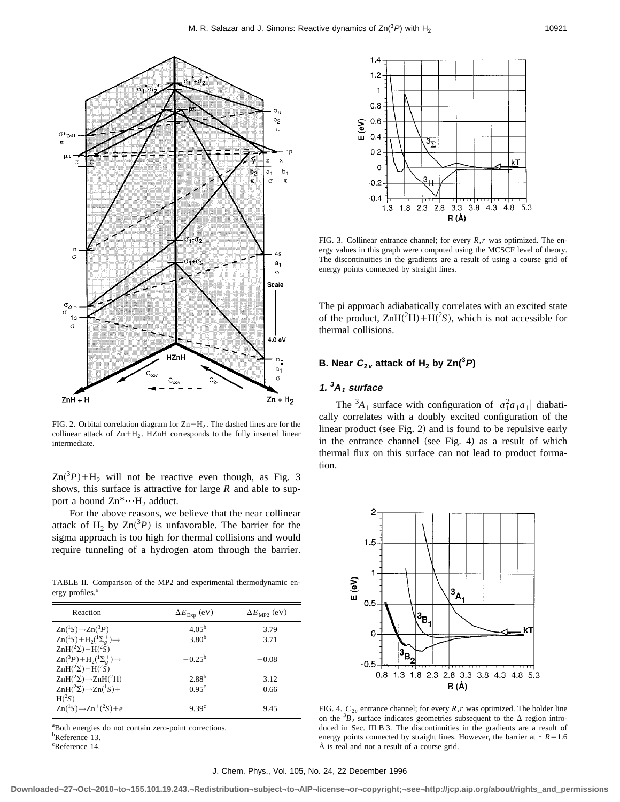

FIG. 2. Orbital correlation diagram for  $\text{Zn+H}_2$ . The dashed lines are for the collinear attack of  $Zn+H_2$ . HZnH corresponds to the fully inserted linear intermediate.

 $\text{Zn}(3P) + \text{H}_2$  will not be reactive even though, as Fig. 3 shows, this surface is attractive for large *R* and able to support a bound  $\text{Zn}^* \cdots \text{H}_2$  adduct.

For the above reasons, we believe that the near collinear attack of  $H_2$  by  $Zn(^3P)$  is unfavorable. The barrier for the sigma approach is too high for thermal collisions and would require tunneling of a hydrogen atom through the barrier.

TABLE II. Comparison of the MP2 and experimental thermodynamic energy profiles.<sup>a</sup>

| Reaction                                                          | $\Delta E_{\rm Exp}$ (eV) | $\Delta E_{\text{MP2}}$ (eV) |
|-------------------------------------------------------------------|---------------------------|------------------------------|
| $\text{Zn}({}^1S)\rightarrow\text{Zn}({}^3P)$                     | $4.05^{b}$                | 3.79                         |
| $\text{Zn}(^1S) + \text{H}_2(\frac{1}{2} \Sigma_g^+) \rightarrow$ | 3.80 <sup>b</sup>         | 3.71                         |
| $ZnH({}^2\Sigma)+H({}^2S)$                                        |                           |                              |
| $\text{Zn}({}^3P)+\text{H}_2({}^1\Sigma^+_e)\rightarrow$          | $-0.25^{\rm b}$           | $-0.08$                      |
| $\text{ZnH}(^{2}\Sigma)+\text{H}(^{2}\check{\text{S}})$           |                           |                              |
| $ZnH(^2\Sigma) \rightarrow ZnH(^2\Pi)$                            | $2.88^{b}$                | 3.12                         |
| $\text{ZnH}(^{2}\Sigma)\rightarrow\text{Zn}(^{1}S)+$              | $0.95^{\circ}$            | 0.66                         |
| $H(^2S)$                                                          |                           |                              |
| $Zn({}^1S) \rightarrow Zn({}^2S) + e^{-}$                         | 9.39 <sup>c</sup>         | 9.45                         |

a Both energies do not contain zero-point corrections. b Reference 13. c Reference 14.



FIG. 3. Collinear entrance channel; for every *R*,*r* was optimized. The energy values in this graph were computed using the MCSCF level of theory. The discontinuities in the gradients are a result of using a course grid of energy points connected by straight lines.

The pi approach adiabatically correlates with an excited state of the product,  $ZnH(^{2}\Pi) + H(^{2}S)$ , which is not accessible for thermal collisions.

# **B.** Near  $C_{2v}$  attack of  $H_2$  by Zn(<sup>3</sup>P)

# **1. <sup>3</sup>A<sup>1</sup> surface**

The  ${}^{3}A_1$  surface with configuration of  $|a_1^2a_1a_1|$  diabatically correlates with a doubly excited configuration of the linear product (see Fig. 2) and is found to be repulsive early in the entrance channel (see Fig. 4) as a result of which thermal flux on this surface can not lead to product formation.



FIG. 4.  $C_{2v}$  entrance channel; for every  $R, r$  was optimized. The bolder line on the  ${}^{3}B_2$  surface indicates geometries subsequent to the  $\Delta$  region introduced in Sec. III B 3. The discontinuities in the gradients are a result of energy points connected by straight lines. However, the barrier at  $\sim$ *R*=1.6 Å is real and not a result of a course grid.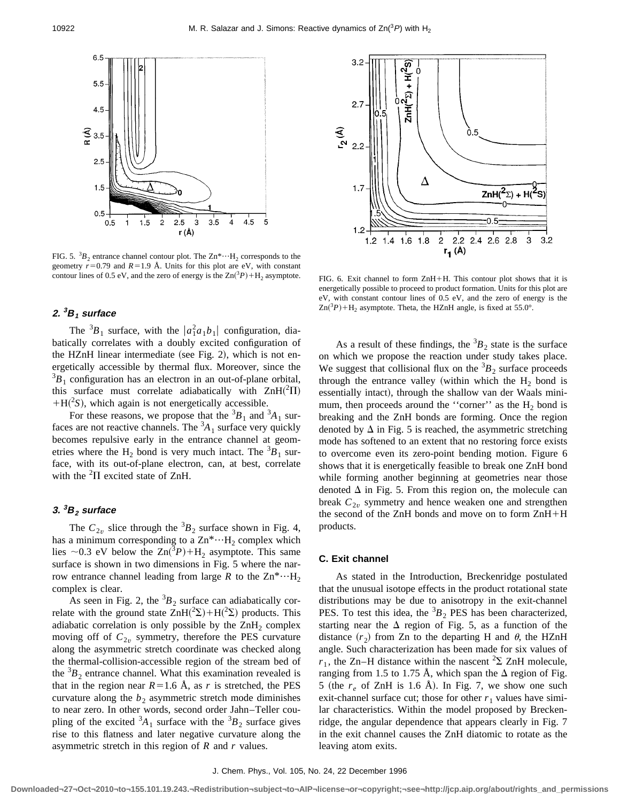

FIG. 5.  ${}^{3}B_{2}$  entrance channel contour plot. The  $\text{Zn}^{*} \cdots \text{H}_{2}$  corresponds to the geometry  $r=0.79$  and  $R=1.9$  Å. Units for this plot are eV, with constant contour lines of 0.5 eV, and the zero of energy is the  $Zn(^{3}$ 

# **2. <sup>3</sup>B<sup>1</sup> surface**

The  ${}^{3}B_1$  surface, with the  $|a_1^2a_1b_1|$  configuration, diabatically correlates with a doubly excited configuration of the HZnH linear intermediate (see Fig. 2), which is not energetically accessible by thermal flux. Moreover, since the  ${}^{3}B_{1}$  configuration has an electron in an out-of-plane orbital, this surface must correlate adiabatically with  $ZnH(^{2}\Pi)$  $+H(^{2}S)$ , which again is not energetically accessible.

For these reasons, we propose that the  ${}^{3}B_1$  and  ${}^{3}A_1$  surfaces are not reactive channels. The  ${}^{3}A_1$  surface very quickly becomes repulsive early in the entrance channel at geometries where the  $H_2$  bond is very much intact. The  ${}^{3}B_1$  surface, with its out-of-plane electron, can, at best, correlate with the  ${}^{2}\Pi$  excited state of ZnH.

## **3. <sup>3</sup>B<sup>2</sup> surface**

The  $C_{2v}$  slice through the  ${}^{3}B_2$  surface shown in Fig. 4, has a minimum corresponding to a  $\text{Zn}^* \cdots \text{H}_2$  complex which lies  $\sim$ 0.3 eV below the Zn(<sup>3</sup>P)+H<sub>2</sub> asymptote. This same surface is shown in two dimensions in Fig. 5 where the narrow entrance channel leading from large *R* to the  $\text{Zn}^* \cdots \text{H}_{2}$ complex is clear.

As seen in Fig. 2, the  ${}^{3}B_2$  surface can adiabatically correlate with the ground state  $\text{ZnH}(^{2}\Sigma) + \text{H}(^{2}\Sigma)$  products. This adiabatic correlation is only possible by the  $\text{ZnH}_2$  complex moving off of  $C_{2v}$  symmetry, therefore the PES curvature along the asymmetric stretch coordinate was checked along the thermal-collision-accessible region of the stream bed of the  ${}^{3}B_2$  entrance channel. What this examination revealed is that in the region near  $R=1.6$  Å, as *r* is stretched, the PES curvature along the  $b_2$  asymmetric stretch mode diminishes to near zero. In other words, second order Jahn–Teller coupling of the excited  ${}^{3}A_1$  surface with the  ${}^{3}B_2$  surface gives rise to this flatness and later negative curvature along the asymmetric stretch in this region of *R* and *r* values.



*PIG. 6. Exit channel to form ZnH+H. This contour plot shows that it is* energetically possible to proceed to product formation. Units for this plot are eV, with constant contour lines of 0.5 eV, and the zero of energy is the  $\text{Zn}(^{3}P) + \text{H}_{2}$  asymptote. Theta, the HZnH angle, is fixed at 55.0°.

As a result of these findings, the  ${}^{3}B_{2}$  state is the surface on which we propose the reaction under study takes place. We suggest that collisional flux on the  ${}^{3}B_{2}$  surface proceeds through the entrance valley (within which the  $H_2$  bond is essentially intact), through the shallow van der Waals minimum, then proceeds around the "corner" as the  $H_2$  bond is breaking and the ZnH bonds are forming. Once the region denoted by  $\Delta$  in Fig. 5 is reached, the asymmetric stretching mode has softened to an extent that no restoring force exists to overcome even its zero-point bending motion. Figure 6 shows that it is energetically feasible to break one ZnH bond while forming another beginning at geometries near those denoted  $\Delta$  in Fig. 5. From this region on, the molecule can break  $C_{2v}$  symmetry and hence weaken one and strengthen the second of the ZnH bonds and move on to form ZnH+H products.

#### **C. Exit channel**

As stated in the Introduction, Breckenridge postulated that the unusual isotope effects in the product rotational state distributions may be due to anisotropy in the exit-channel PES. To test this idea, the  ${}^{3}B_{2}$  PES has been characterized, starting near the  $\Delta$  region of Fig. 5, as a function of the distance  $(r_2)$  from Zn to the departing H and  $\theta$ , the HZnH angle. Such characterization has been made for six values of  $r_1$ , the Zn–H distance within the nascent <sup>2</sup> $\Sigma$  ZnH molecule, ranging from 1.5 to 1.75 Å, which span the  $\Delta$  region of Fig. 5 (the  $r_e$  of ZnH is 1.6 Å). In Fig. 7, we show one such exit-channel surface cut; those for other  $r_1$  values have similar characteristics. Within the model proposed by Breckenridge, the angular dependence that appears clearly in Fig. 7 in the exit channel causes the ZnH diatomic to rotate as the leaving atom exits.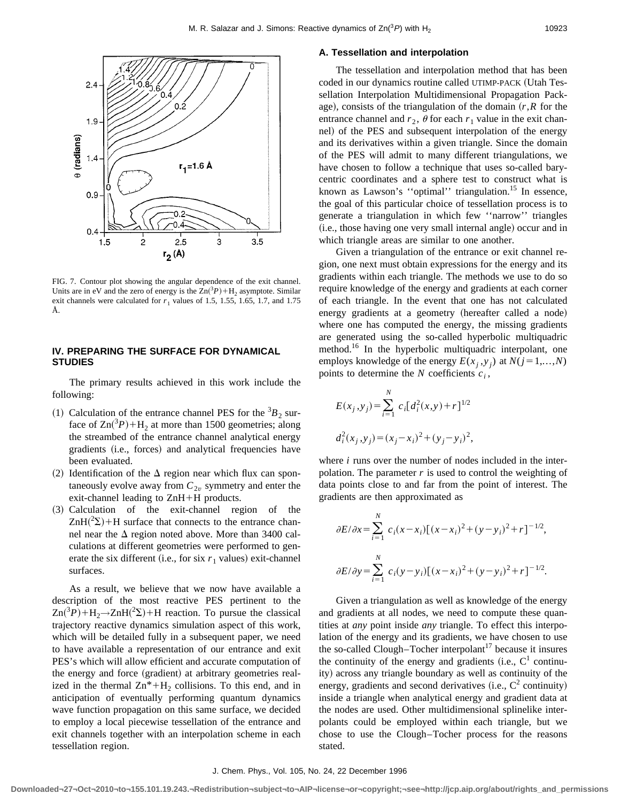

FIG. 7. Contour plot showing the angular dependence of the exit channel. Units are in eV and the zero of energy is the  $Zn({}^3P) + H_2$  asymptote. Similar exit channels were calculated for  $r_1$  values of 1.5, 1.55, 1.65, 1.7, and 1.75 Å.

## **IV. PREPARING THE SURFACE FOR DYNAMICAL STUDIES**

The primary results achieved in this work include the following:

- (1) Calculation of the entrance channel PES for the  ${}^{3}B_{2}$  surface of  $\text{Zn}(^{3}P) + \text{H}_{2}$  at more than 1500 geometries; along the streambed of the entrance channel analytical energy gradients (i.e., forces) and analytical frequencies have been evaluated.
- (2) Identification of the  $\Delta$  region near which flux can spontaneously evolve away from  $C_{2v}$  symmetry and enter the exit-channel leading to  $ZnH+H$  products.
- $(3)$  Calculation of the exit-channel region of the  $ZnH(^{2}\Sigma)$  +H surface that connects to the entrance channel near the  $\Delta$  region noted above. More than 3400 calculations at different geometries were performed to generate the six different (i.e., for six  $r_1$  values) exit-channel surfaces.

As a result, we believe that we now have available a description of the most reactive PES pertinent to the  $\text{Zn}(^{3}P) + \text{H}_{2} \rightarrow \text{ZnH}(^{2} \Sigma) + \text{H}$  reaction. To pursue the classical trajectory reactive dynamics simulation aspect of this work, which will be detailed fully in a subsequent paper, we need to have available a representation of our entrance and exit PES's which will allow efficient and accurate computation of the energy and force (gradient) at arbitrary geometries realized in the thermal  $\text{Zn}^*+\text{H}_2$  collisions. To this end, and in anticipation of eventually performing quantum dynamics wave function propagation on this same surface, we decided to employ a local piecewise tessellation of the entrance and exit channels together with an interpolation scheme in each tessellation region.

## **A. Tessellation and interpolation**

The tessellation and interpolation method that has been coded in our dynamics routine called UTIMP-PACK (Utah Tessellation Interpolation Multidimensional Propagation Package), consists of the triangulation of the domain  $(r, R)$  for the entrance channel and  $r_2$ ,  $\theta$  for each  $r_1$  value in the exit channel) of the PES and subsequent interpolation of the energy and its derivatives within a given triangle. Since the domain of the PES will admit to many different triangulations, we have chosen to follow a technique that uses so-called barycentric coordinates and a sphere test to construct what is known as Lawson's "optimal" triangulation.<sup>15</sup> In essence, the goal of this particular choice of tessellation process is to generate a triangulation in which few ''narrow'' triangles (i.e., those having one very small internal angle) occur and in which triangle areas are similar to one another.

Given a triangulation of the entrance or exit channel region, one next must obtain expressions for the energy and its gradients within each triangle. The methods we use to do so require knowledge of the energy and gradients at each corner of each triangle. In the event that one has not calculated energy gradients at a geometry (hereafter called a node) where one has computed the energy, the missing gradients are generated using the so-called hyperbolic multiquadric method.<sup>16</sup> In the hyperbolic multiquadric interpolant, one employs knowledge of the energy  $E(x_i, y_j)$  at  $N(j=1,...,N)$ points to determine the  $N$  coefficients  $c_i$ ,

$$
E(x_j, y_j) = \sum_{i=1}^{N} c_i [d_i^2(x, y) + r]^{1/2}
$$
  

$$
d_i^2(x_j, y_j) = (x_j - x_i)^2 + (y_j - y_i)^2,
$$

where *i* runs over the number of nodes included in the interpolation. The parameter  $r$  is used to control the weighting of data points close to and far from the point of interest. The gradients are then approximated as

$$
\partial E/\partial x = \sum_{i=1}^{N} c_i (x - x_i) [(x - x_i)^2 + (y - y_i)^2 + r]^{-1/2},
$$
  

$$
\partial E/\partial y = \sum_{i=1}^{N} c_i (y - y_i) [(x - x_i)^2 + (y - y_i)^2 + r]^{-1/2}.
$$

Given a triangulation as well as knowledge of the energy and gradients at all nodes, we need to compute these quantities at *any* point inside *any* triangle. To effect this interpolation of the energy and its gradients, we have chosen to use the so-called Clough–Tocher interpolant<sup>17</sup> because it insures the continuity of the energy and gradients (i.e.,  $C<sup>1</sup>$  continuity) across any triangle boundary as well as continuity of the energy, gradients and second derivatives (i.e.,  $C^2$  continuity) inside a triangle when analytical energy and gradient data at the nodes are used. Other multidimensional splinelike interpolants could be employed within each triangle, but we chose to use the Clough–Tocher process for the reasons stated.